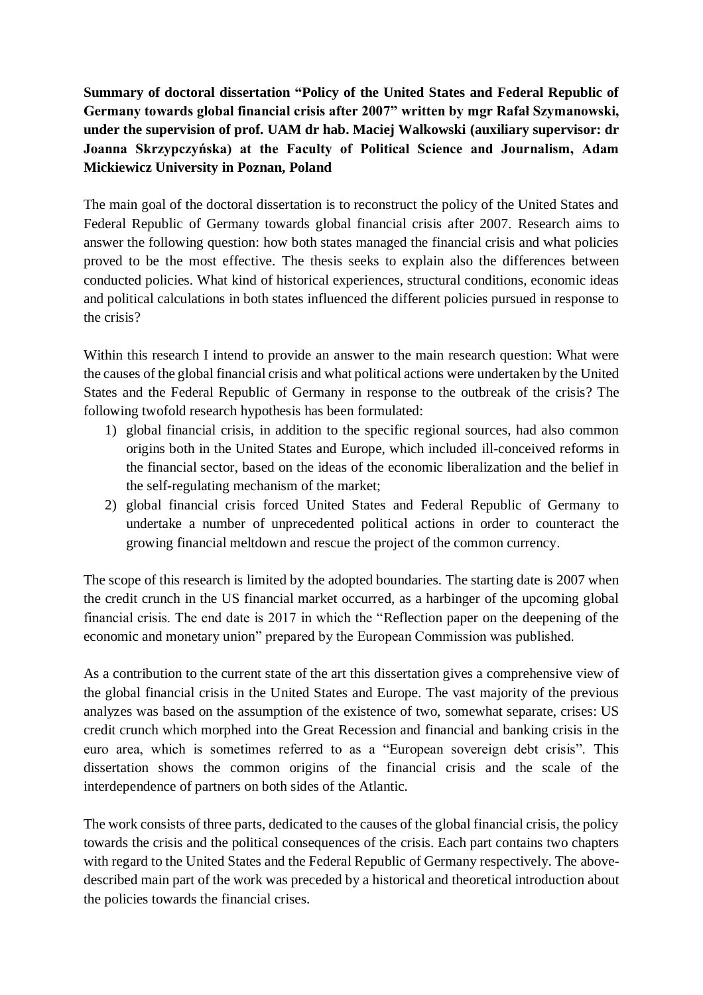**Summary of doctoral dissertation "Policy of the United States and Federal Republic of Germany towards global financial crisis after 2007" written by mgr Rafał Szymanowski, under the supervision of prof. UAM dr hab. Maciej Walkowski (auxiliary supervisor: dr Joanna Skrzypczyńska) at the Faculty of Political Science and Journalism, Adam Mickiewicz University in Poznan, Poland**

The main goal of the doctoral dissertation is to reconstruct the policy of the United States and Federal Republic of Germany towards global financial crisis after 2007. Research aims to answer the following question: how both states managed the financial crisis and what policies proved to be the most effective. The thesis seeks to explain also the differences between conducted policies. What kind of historical experiences, structural conditions, economic ideas and political calculations in both states influenced the different policies pursued in response to the crisis?

Within this research I intend to provide an answer to the main research question: What were the causes of the global financial crisis and what political actions were undertaken by the United States and the Federal Republic of Germany in response to the outbreak of the crisis? The following twofold research hypothesis has been formulated:

- 1) global financial crisis, in addition to the specific regional sources, had also common origins both in the United States and Europe, which included ill-conceived reforms in the financial sector, based on the ideas of the economic liberalization and the belief in the self-regulating mechanism of the market;
- 2) global financial crisis forced United States and Federal Republic of Germany to undertake a number of unprecedented political actions in order to counteract the growing financial meltdown and rescue the project of the common currency.

The scope of this research is limited by the adopted boundaries. The starting date is 2007 when the credit crunch in the US financial market occurred, as a harbinger of the upcoming global financial crisis. The end date is 2017 in which the "Reflection paper on the deepening of the economic and monetary union" prepared by the European Commission was published.

As a contribution to the current state of the art this dissertation gives a comprehensive view of the global financial crisis in the United States and Europe. The vast majority of the previous analyzes was based on the assumption of the existence of two, somewhat separate, crises: US credit crunch which morphed into the Great Recession and financial and banking crisis in the euro area, which is sometimes referred to as a "European sovereign debt crisis". This dissertation shows the common origins of the financial crisis and the scale of the interdependence of partners on both sides of the Atlantic.

The work consists of three parts, dedicated to the causes of the global financial crisis, the policy towards the crisis and the political consequences of the crisis. Each part contains two chapters with regard to the United States and the Federal Republic of Germany respectively. The abovedescribed main part of the work was preceded by a historical and theoretical introduction about the policies towards the financial crises.